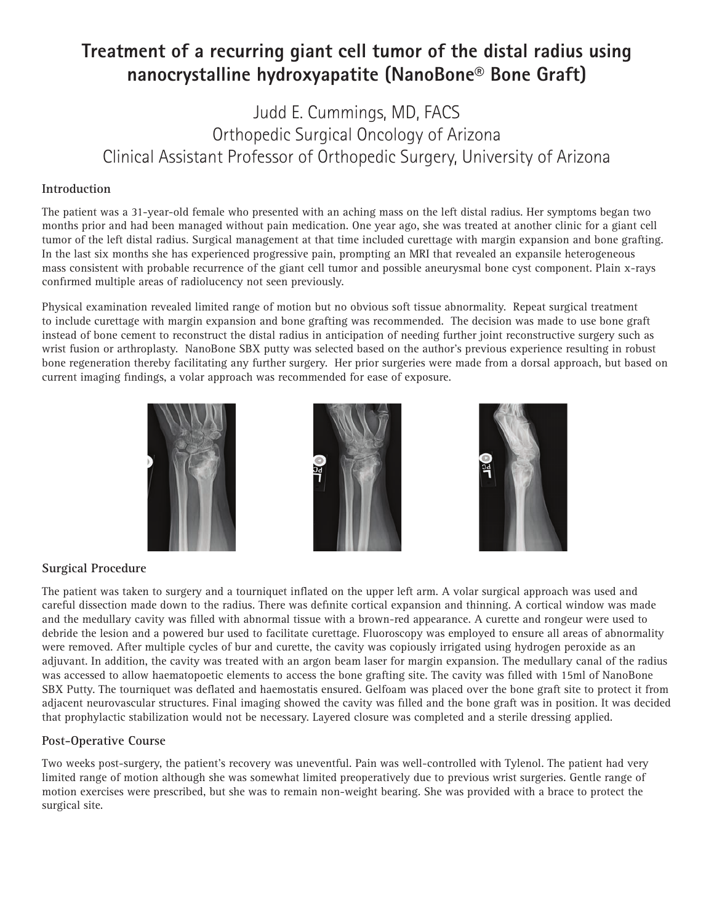# **Treatment of a recurring giant cell tumor of the distal radius using nanocrystalline hydroxyapatite (NanoBone® Bone Graft)**

## Judd E. Cummings, MD, FACS Orthopedic Surgical Oncology of Arizona Clinical Assistant Professor of Orthopedic Surgery, University of Arizona

#### **Introduction**

The patient was a 31-year-old female who presented with an aching mass on the left distal radius. Her symptoms began two months prior and had been managed without pain medication. One year ago, she was treated at another clinic for a giant cell tumor of the left distal radius. Surgical management at that time included curettage with margin expansion and bone grafting. In the last six months she has experienced progressive pain, prompting an MRI that revealed an expansile heterogeneous mass consistent with probable recurrence of the giant cell tumor and possible aneurysmal bone cyst component. Plain x-rays confirmed multiple areas of radiolucency not seen previously.

Physical examination revealed limited range of motion but no obvious soft tissue abnormality. Repeat surgical treatment to include curettage with margin expansion and bone grafting was recommended. The decision was made to use bone graft instead of bone cement to reconstruct the distal radius in anticipation of needing further joint reconstructive surgery such as wrist fusion or arthroplasty. NanoBone SBX putty was selected based on the author's previous experience resulting in robust bone regeneration thereby facilitating any further surgery. Her prior surgeries were made from a dorsal approach, but based on current imaging findings, a volar approach was recommended for ease of exposure.







### **Surgical Procedure**

The patient was taken to surgery and a tourniquet inflated on the upper left arm. A volar surgical approach was used and careful dissection made down to the radius. There was definite cortical expansion and thinning. A cortical window was made and the medullary cavity was filled with abnormal tissue with a brown-red appearance. A curette and rongeur were used to debride the lesion and a powered bur used to facilitate curettage. Fluoroscopy was employed to ensure all areas of abnormality were removed. After multiple cycles of bur and curette, the cavity was copiously irrigated using hydrogen peroxide as an adjuvant. In addition, the cavity was treated with an argon beam laser for margin expansion. The medullary canal of the radius was accessed to allow haematopoetic elements to access the bone grafting site. The cavity was filled with 15ml of NanoBone SBX Putty. The tourniquet was deflated and haemostatis ensured. Gelfoam was placed over the bone graft site to protect it from adjacent neurovascular structures. Final imaging showed the cavity was filled and the bone graft was in position. It was decided that prophylactic stabilization would not be necessary. Layered closure was completed and a sterile dressing applied.

#### **Post-Operative Course**

Two weeks post-surgery, the patient's recovery was uneventful. Pain was well-controlled with Tylenol. The patient had very limited range of motion although she was somewhat limited preoperatively due to previous wrist surgeries. Gentle range of motion exercises were prescribed, but she was to remain non-weight bearing. She was provided with a brace to protect the surgical site.